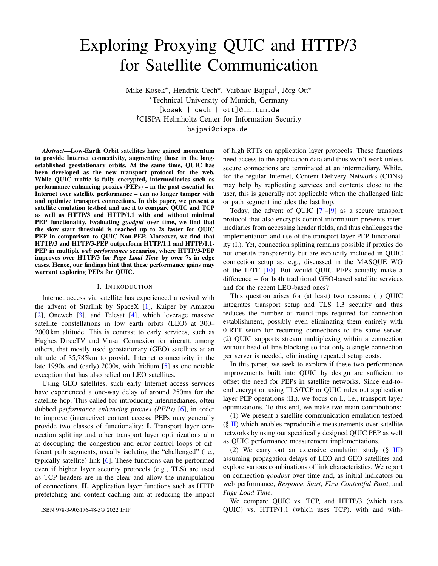# Exploring Proxying QUIC and HTTP/3 for Satellite Communication

Mike Kosek\*, Hendrik Cech\*, Vaibhav Bajpai<sup>†</sup>, Jörg Ott\* <sup>⋆</sup>Technical University of Munich, Germany [kosek | cech | ott]@in.tum.de †CISPA Helmholtz Center for Information Security bajpai@cispa.de

*Abstract*—Low-Earth Orbit satellites have gained momentum to provide Internet connectivity, augmenting those in the longestablished geostationary orbits. At the same time, QUIC has been developed as the new transport protocol for the web. While QUIC traffic is fully encrypted, intermediaries such as performance enhancing proxies (PEPs) – in the past essential for Internet over satellite performance – can no longer tamper with and optimize transport connections. In this paper, we present a satellite emulation testbed and use it to compare QUIC and TCP as well as HTTP/3 and HTTP/1.1 with and without minimal PEP functionality. Evaluating *goodput* over time, we find that the slow start threshold is reached up to 2s faster for QUIC PEP in comparison to QUIC Non-PEP. Moreover, we find that HTTP/3 and HTTP/3-PEP outperform HTTP/1.1 and HTTP/1.1- PEP in multiple *web performance* scenarios, where HTTP/3-PEP improves over HTTP/3 for *Page Load Time* by over 7s in edge cases. Hence, our findings hint that these performance gains may warrant exploring PEPs for QUIC.

#### I. INTRODUCTION

Internet access via satellite has experienced a revival with the advent of Starlink by SpaceX [1], Kuiper by Amazon [2], Oneweb [3], and Telesat [4], which leverage massive satellite constellations in low earth orbits (LEO) at 300– 2000 km altitude. This is contrast to early services, such as Hughes DirecTV and Viasat Connexion for aircraft, among others, that mostly used geostationary (GEO) satellites at an altitude of 35,785km to provide Internet connectivity in the late 1990s and (early) 2000s, with Iridium [5] as one notable exception that has also relied on LEO satellites.

Using GEO satellites, such early Internet access services have experienced a one-way delay of around 250ms for the satellite hop. This called for introducing intermediaries, often dubbed *performance enhancing proxies (PEPs)* [6], in order to improve (interactive) content access. PEPs may generally provide two classes of functionality: I. Transport layer connection splitting and other transport layer optimizations aim at decoupling the congestion and error control loops of different path segments, usually isolating the "challenged" (i.e., typically satellite) link [6]. These functions can be performed even if higher layer security protocols (e.g., TLS) are used as TCP headers are in the clear and allow the manipulation of connections. II. Application layer functions such as HTTP prefetching and content caching aim at reducing the impact of high RTTs on application layer protocols. These functions need access to the application data and thus won't work unless secure connections are terminated at an intermediary. While, for the regular Internet, Content Delivery Networks (CDNs) may help by replicating services and contents close to the user, this is generally not applicable when the challenged link or path segment includes the last hop.

Today, the advent of QUIC [7]–[9] as a secure transport protocol that also encrypts control information prevents intermediaries from accessing header fields, and thus challenges the implementation and use of the transport layer PEP functionality (I.). Yet, connection splitting remains possible if proxies do not operate transparently but are explicitly included in QUIC connection setup as, e.g., discussed in the MASQUE WG of the IETF [10]. But would QUIC PEPs actually make a difference – for both traditional GEO-based satellite services and for the recent LEO-based ones?

This question arises for (at least) two reasons: (1) QUIC integrates transport setup and TLS 1.3 security and thus reduces the number of round-trips required for connection establishment, possibly even eliminating them entirely with 0-RTT setup for recurring connections to the same server. (2) QUIC supports stream multiplexing within a connection without head-of-line blocking so that only a single connection per server is needed, eliminating repeated setup costs.

In this paper, we seek to explore if these two performance improvements built into QUIC by design are sufficient to offset the need for PEPs in satellite networks. Since end-toend encryption using TLS/TCP or QUIC rules out application layer PEP operations (II.), we focus on I., i.e., transport layer optimizations. To this end, we make two main contributions:

(1) We present a satellite communication emulation testbed  $(\S \Pi)$  which enables reproducible measurements over satellite networks by using our specifically designed QUIC PEP as well as QUIC performance measurement implementations.

(2) We carry out an extensive emulation study  $(\S$  III) assuming propagation delays of LEO and GEO satellites and explore various combinations of link characteristics. We report on connection *goodput* over time and, as initial indicators on web performance, *Response Start*, *First Contentful Paint*, and *Page Load Time*.

We compare QUIC vs. TCP, and HTTP/3 (which uses QUIC) vs. HTTP/1.1 (which uses TCP), with and with-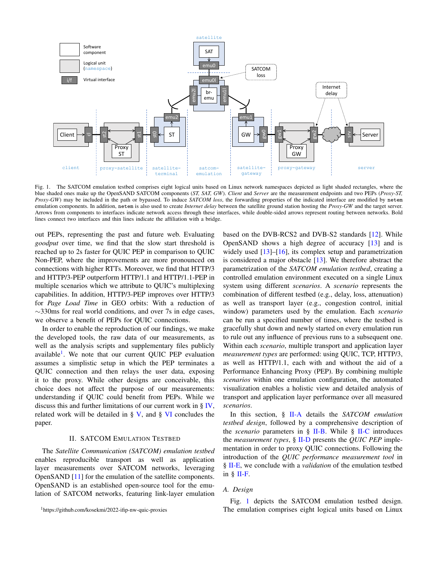

Fig. 1. The SATCOM emulation testbed comprises eight logical units based on Linux network namespaces depicted as light shaded rectangles, where the blue shaded ones make up the OpenSAND SATCOM components (*ST, SAT, GW*). *Client* and *Server* are the measurement endpoints and two PEPs (*Proxy-ST, Proxy-GW*) may be included in the path or bypassed. To induce *SATCOM loss*, the forwarding properties of the indicated interface are modified by netem emulation components. In addition, netem is also used to create *Internet delay* between the satellite ground station hosting the *Proxy-GW* and the target server. Arrows from components to interfaces indicate network access through these interfaces, while double-sided arrows represent routing between networks. Bold lines connect two interfaces and thin lines indicate the affiliation with a bridge.

out PEPs, representing the past and future web. Evaluating *goodput* over time, we find that the slow start threshold is reached up to 2s faster for QUIC PEP in comparison to QUIC Non-PEP, where the improvements are more pronounced on connections with higher RTTs. Moreover, we find that HTTP/3 and HTTP/3-PEP outperform HTTP/1.1 and HTTP/1.1-PEP in multiple scenarios which we attribute to QUIC's multiplexing capabilities. In addition, HTTP/3-PEP improves over HTTP/3 for *Page Load Time* in GEO orbits: With a reduction of ∼330ms for real world conditions, and over 7s in edge cases, we observe a benefit of PEPs for QUIC connections.

In order to enable the reproduction of our findings, we make the developed tools, the raw data of our measurements, as well as the analysis scripts and supplementary files publicly available<sup>1</sup>. We note that our current QUIC PEP evaluation assumes a simplistic setup in which the PEP terminates a QUIC connection and then relays the user data, exposing it to the proxy. While other designs are conceivable, this choice does not affect the purpose of our measurements: understanding if QUIC could benefit from PEPs. While we discuss this and further limitations of our current work in § IV, related work will be detailed in  $\S V$ , and  $\S V$  concludes the paper.

#### II. SATCOM EMULATION TESTBED

The *Satellite Communication (SATCOM) emulation testbed* enables reproducible transport as well as application layer measurements over SATCOM networks, leveraging OpenSAND [11] for the emulation of the satellite components. OpenSAND is an established open-source tool for the emulation of SATCOM networks, featuring link-layer emulation

<sup>1</sup>https://github.com/kosekmi/2022-ifip-nw-quic-proxies

based on the DVB-RCS2 and DVB-S2 standards [12]. While OpenSAND shows a high degree of accuracy [13] and is widely used [13]–[16], its complex setup and parametrization is considered a major obstacle [13]. We therefore abstract the parametrization of the *SATCOM emulation testbed*, creating a controlled emulation environment executed on a single Linux system using different *scenarios*. A *scenario* represents the combination of different testbed (e.g., delay, loss, attenuation) as well as transport layer (e.g., congestion control, initial window) parameters used by the emulation. Each *scenario* can be run a specified number of times, where the testbed is gracefully shut down and newly started on every emulation run to rule out any influence of previous runs to a subsequent one. Within each *scenario*, multiple transport and application layer *measurement types* are performed: using QUIC, TCP, HTTP/3, as well as HTTP/1.1, each with and without the aid of a Performance Enhancing Proxy (PEP). By combining multiple *scenarios* within one emulation configuration, the automated visualization enables a holistic view and detailed analysis of transport and application layer performance over all measured *scenarios*.

In this section, § II-A details the *SATCOM emulation testbed design*, followed by a comprehensive description of the *scenario* parameters in § II-B. While § II-C introduces the *measurement types*, § II-D presents the *QUIC PEP* implementation in order to proxy QUIC connections. Following the introduction of the *QUIC performance measurement tool* in § II-E, we conclude with a *validation* of the emulation testbed in § II-F.

## *A. Design*

Fig. 1 depicts the SATCOM emulation testbed design. The emulation comprises eight logical units based on Linux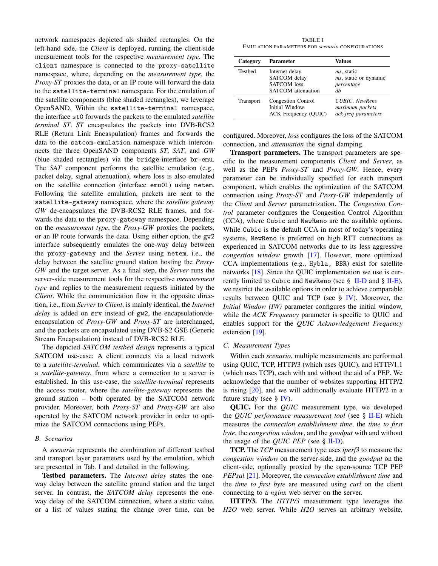network namespaces depicted als shaded rectangles. On the left-hand side, the *Client* is deployed, running the client-side measurement tools for the respective *measurement type*. The client namespace is connected to the proxy-satellite namespace, where, depending on the *measurement type*, the *Proxy-ST* proxies the data, or an IP route will forward the data to the satellite-terminal namespace. For the emulation of the satellite components (blue shaded rectangles), we leverage OpenSAND. Within the satellite-terminal namespace, the interface st0 forwards the packets to the emulated *satellite terminal ST*. *ST* encapsulates the packets into DVB-RCS2 RLE (Return Link Encaspulation) frames and forwards the data to the satcom-emulation namespace which interconnects the three OpenSAND components *ST*, *SAT*, and *GW* (blue shaded rectangles) via the bridge-interface br-emu. The *SAT* component performs the satellite emulation (e.g., packet delay, signal attenuation), where loss is also emulated on the satellite connection (interface emu0l) using netem. Following the satellite emulation, packets are sent to the satellite-gateway namespace, where the *satellite gateway GW* de-encapsulates the DVB-RCS2 RLE frames, and forwards the data to the proxy-gateway namespace. Depending on the *measurement type*, the *Proxy-GW* proxies the packets, or an IP route forwards the data. Using either option, the gw2 interface subsequently emulates the one-way delay between the proxy-gateway and the *Server* using netem, i.e., the delay between the satellite ground station hosting the *Proxy-GW* and the target server. As a final step, the *Server* runs the server-side measurement tools for the respective *measurement type* and replies to the measurement requests initiated by the *Client*. While the communication flow in the opposite direction, i.e., from *Server* to *Client*, is mainly identical, the *Internet delay* is added on srv instead of gw2, the encapsulation/deencapsulation of *Proxy-GW* and *Proxy-ST* are interchanged, and the packets are encapsulated using DVB-S2 GSE (Generic Stream Encapsulation) instead of DVB-RCS2 RLE.

The depicted *SATCOM testbed design* represents a typical SATCOM use-case: A client connects via a local network to a *satellite-terminal*, which communicates via a *satellite* to a *satellite-gateway*, from where a connection to a server is established. In this use-case, the *satellite-terminal* represents the access router, where the *satellite-gateway* represents the ground station – both operated by the SATCOM network provider. Moreover, both *Proxy-ST* and *Proxy-GW* are also operated by the SATCOM network provider in order to optimize the SATCOM connections using PEPs.

#### *B. Scenarios*

A *scenario* represents the combination of different testbed and transport layer parameters used by the emulation, which are presented in Tab. I and detailed in the following.

Testbed parameters. The *Internet delay* states the oneway delay between the satellite ground station and the target server. In contrast, the *SATCOM delay* represents the oneway delay of the SATCOM connection, where a static value, or a list of values stating the change over time, can be

TABLE I EMULATION PARAMETERS FOR *scenario* CONFIGURATIONS

| Category         | <b>Parameter</b>                                                                  | Values                                                                  |  |  |  |
|------------------|-----------------------------------------------------------------------------------|-------------------------------------------------------------------------|--|--|--|
| <b>Testbed</b>   | Internet delay<br>SATCOM delay<br><b>SATCOM</b> loss<br><b>SATCOM</b> attenuation | <i>ms</i> , static<br><i>ms</i> , static or dynamic<br>percentage<br>dh |  |  |  |
| <b>Transport</b> | <b>Congestion Control</b><br><b>Initial Window</b><br>ACK Frequency (QUIC)        | CUBIC, NewReno<br>maximum packets<br>ack-freq parameters                |  |  |  |

configured. Moreover, *loss* configures the loss of the SATCOM connection, and *attenuation* the signal damping.

Transport parameters. The transport parameters are specific to the measurement components *Client* and *Server*, as well as the PEPs *Proxy-ST* and *Proxy-GW*. Hence, every parameter can be individually specified for each transport component, which enables the optimization of the SATCOM connection using *Proxy-ST* and *Proxy-GW* independently of the *Client* and *Server* parametrization. The *Congestion Control* parameter configures the Congestion Control Algorithm (CCA), where Cubic and NewReno are the available options. While Cubic is the default CCA in most of today's operating systems, NewReno is preferred on high RTT connections as experienced in SATCOM networks due to its less aggressive *congestion window* growth [17]. However, more optimized CCA implementations (e.g., Hybla, BBR) exist for satellite networks [18]. Since the QUIC implementation we use is currently limited to Cubic and NewReno (see  $\S$  II-D and  $\S$  II-E), we restrict the available options in order to achieve comparable results between QUIC and TCP (see § IV). Moreover, the *Initial Window (IW)* parameter configures the initial window, while the *ACK Frequency* parameter is specific to QUIC and enables support for the *QUIC Acknowledgement Frequency* extension [19].

# *C. Measurement Types*

Within each *scenario*, multiple measurements are performed using QUIC, TCP, HTTP/3 (which uses QUIC), and HTTP/1.1 (which uses TCP), each with and without the aid of a PEP. We acknowledge that the number of websites supporting HTTP/2 is rising [20], and we will additionally evaluate HTTP/2 in a future study (see  $\S$  IV).

QUIC. For the *QUIC* measurement type, we developed the *QUIC performance measurement tool* (see § II-E) which measures the *connection establishment time*, the *time to first byte*, the *congestion window*, and the *goodput* with and without the usage of the *QUIC PEP* (see  $\S$  II-D).

TCP. The *TCP* measurement type uses *iperf3* to measure the *congestion window* on the server-side, and the *goodput* on the client-side, optionally proxied by the open-source TCP PEP *PEPsal* [21]. Moreover, the *connection establishment time* and the *time to first byte* are measured using *curl* on the client connecting to a *nginx* web server on the server.

HTTP/3. The *HTTP/3* measurement type leverages the *H2O* web server. While *H2O* serves an arbitrary website,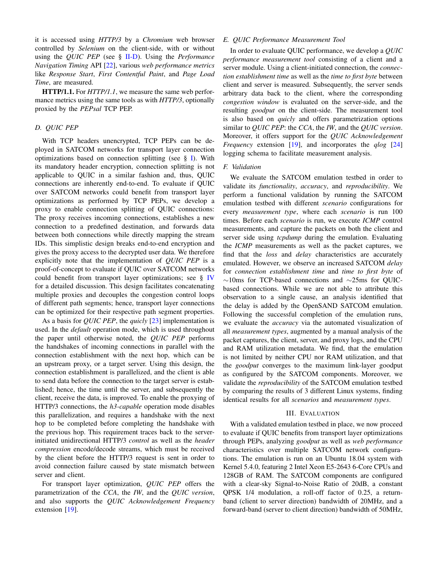it is accessed using *HTTP/3* by a *Chromium* web browser controlled by *Selenium* on the client-side, with or without using the *QUIC PEP* (see § II-D). Using the *Performance Navigation Timing* API [22], various *web performance metrics* like *Response Start*, *First Contentful Paint*, and *Page Load Time*, are measured.

HTTP/1.1. For *HTTP/1.1*, we measure the same web performance metrics using the same tools as with *HTTP/3*, optionally proxied by the *PEPsal* TCP PEP.

## *D. QUIC PEP*

With TCP headers unencrypted, TCP PEPs can be deployed in SATCOM networks for transport layer connection optimizations based on connection splitting (see § I). With its mandatory header encryption, connection splitting is not applicable to QUIC in a similar fashion and, thus, QUIC connections are inherently end-to-end. To evaluate if QUIC over SATCOM networks could benefit from transport layer optimizations as performed by TCP PEPs, we develop a proxy to enable connection splitting of QUIC connections: The proxy receives incoming connections, establishes a new connection to a predefined destination, and forwards data between both connections while directly mapping the stream IDs. This simplistic design breaks end-to-end encryption and gives the proxy access to the decrypted user data. We therefore explicitly note that the implementation of *QUIC PEP* is a proof-of-concept to evaluate if QUIC over SATCOM networks could benefit from transport layer optimizations; see § IV for a detailed discussion. This design facilitates concatenating multiple proxies and decouples the congestion control loops of different path segments; hence, transport layer connections can be optimized for their respective path segment properties.

As a basis for *QUIC PEP*, the *quicly* [23] implementation is used. In the *default* operation mode, which is used throughout the paper until otherwise noted, the *QUIC PEP* performs the handshakes of incoming connections in parallel with the connection establishment with the next hop, which can be an upstream proxy, or a target server. Using this design, the connection establishment is parallelized, and the client is able to send data before the connection to the target server is established; hence, the time until the server, and subsequently the client, receive the data, is improved. To enable the proxying of HTTP/3 connections, the *h3-capable* operation mode disables this parallelization, and requires a handshake with the next hop to be completed before completing the handshake with the previous hop. This requirement traces back to the serverinitiated unidirectional HTTP/3 *control* as well as the *header compression* encode/decode streams, which must be received by the client before the HTTP/3 request is sent in order to avoid connection failure caused by state mismatch between server and client.

For transport layer optimization, *QUIC PEP* offers the parametrization of the *CCA*, the *IW*, and the *QUIC version*, and also supports the *QUIC Acknowledgement Frequency* extension [19].

# *E. QUIC Performance Measurement Tool*

In order to evaluate QUIC performance, we develop a *QUIC performance measurement tool* consisting of a client and a server module. Using a client-initiated connection, the *connection establishment time* as well as the *time to first byte* between client and server is measured. Subsequently, the server sends arbitrary data back to the client, where the corresponding *congestion window* is evaluated on the server-side, and the resulting *goodput* on the client-side. The measurement tool is also based on *quicly* and offers parametrization options similar to *QUIC PEP*: the *CCA*, the *IW*, and the *QUIC version*. Moreover, it offers support for the *QUIC Acknowledgement Frequency* extension [19], and incorporates the *qlog* [24] logging schema to facilitate measurement analysis.

#### *F. Validation*

We evaluate the SATCOM emulation testbed in order to validate its *functionality*, *accuracy*, and *reproducibility*. We perform a functional validation by running the SATCOM emulation testbed with different *scenario* configurations for every *measurement type*, where each *scenario* is run 100 times. Before each *scenario* is run, we execute *ICMP* control measurements, and capture the packets on both the client and server side using *tcpdump* during the emulation. Evaluating the *ICMP* measurements as well as the packet captures, we find that the *loss* and *delay* characteristics are accurately emulated. However, we observe an increased SATCOM *delay* for *connection establishment time* and *time to first byte* of ∼10ms for TCP-based connections and ∼25ms for QUICbased connections. While we are not able to attribute this observation to a single cause, an analysis identified that the delay is added by the OpenSAND SATCOM emulation. Following the successful completion of the emulation runs, we evaluate the *accuracy* via the automated visualization of all *measurement types*, augmented by a manual analysis of the packet captures, the client, server, and proxy logs, and the CPU and RAM utilization metadata. We find, that the emulation is not limited by neither CPU nor RAM utilization, and that the *goodput* converges to the maximum link-layer goodput as configured by the SATCOM components. Moreover, we validate the *reproducibility* of the SATCOM emulation testbed by comparing the results of 3 different Linux systems, finding identical results for all *scenarios* and *measurement types*.

# III. EVALUATION

With a validated emulation testbed in place, we now proceed to evaluate if QUIC benefits from transport layer optimizations through PEPs, analyzing *goodput* as well as *web performance* characteristics over multiple SATCOM network configurations. The emulation is run on an Ubuntu 18.04 system with Kernel 5.4.0, featuring 2 Intel Xeon E5-2643 6-Core CPUs and 128GB of RAM. The SATCOM components are configured with a clear-sky Signal-to-Noise Ratio of 20dB, a constant QPSK 1/4 modulation, a roll-off factor of 0.25, a returnband (client to server direction) bandwidth of 20MHz, and a forward-band (server to client direction) bandwidth of 50MHz,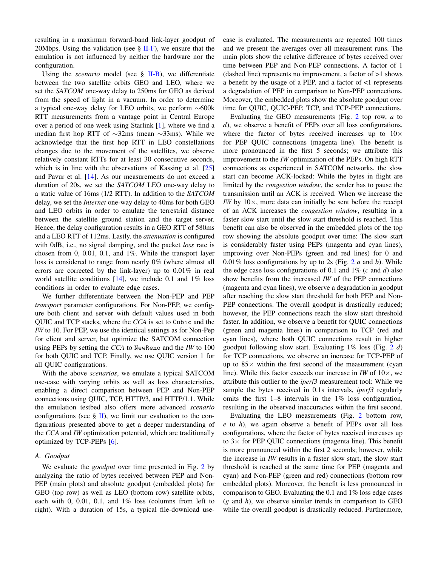resulting in a maximum forward-band link-layer goodput of 20Mbps. Using the validation (see  $\S$  II-F), we ensure that the emulation is not influenced by neither the hardware nor the configuration.

Using the *scenario* model (see § II-B), we differentiate between the two satellite orbits GEO and LEO, where we set the *SATCOM* one-way delay to 250ms for GEO as derived from the speed of light in a vacuum. In order to determine a typical one-way delay for LEO orbits, we perform ∼600k RTT measurements from a vantage point in Central Europe over a period of one week using Starlink [1], where we find a median first hop RTT of ∼32ms (mean ∼33ms). While we acknowledge that the first hop RTT in LEO constellations changes due to the movement of the satellites, we observe relatively constant RTTs for at least 30 consecutive seconds, which is in line with the observations of Kassing et al. [25] and Pavur et al. [14]. As our measurements do not exceed a duration of 20s, we set the *SATCOM* LEO one-way delay to a static value of 16ms (1/2 RTT). In addition to the *SATCOM* delay, we set the *Internet* one-way delay to 40ms for both GEO and LEO orbits in order to emulate the terrestrial distance between the satellite ground station and the target server. Hence, the delay configuration results in a GEO RTT of 580ms and a LEO RTT of 112ms. Lastly, the *attenuation* is configured with 0dB, i.e., no signal damping, and the packet *loss* rate is chosen from 0, 0.01, 0.1, and 1%. While the transport layer loss is considered to range from nearly 0% (where almost all errors are corrected by the link-layer) up to 0.01% in real world satellite conditions  $[14]$ , we include 0.1 and 1% loss conditions in order to evaluate edge cases.

We further differentiate between the Non-PEP and PEP *transport* parameter configurations. For Non-PEP, we configure both client and server with default values used in both QUIC and TCP stacks, where the *CCA* is set to Cubic and the *IW* to 10. For PEP, we use the identical settings as for Non-Pep for client and server, but optimize the SATCOM connection using PEPs by setting the *CCA* to NewReno and the *IW* to 100 for both QUIC and TCP. Finally, we use QUIC version 1 for all QUIC configurations.

With the above *scenarios*, we emulate a typical SATCOM use-case with varying orbits as well as loss characteristics, enabling a direct comparison between PEP and Non-PEP connections using QUIC, TCP, HTTP/3, and HTTP/1.1. While the emulation testbed also offers more advanced *scenario* configurations (see  $\S$  II), we limit our evaluation to the configurations presented above to get a deeper understanding of the *CCA* and *IW* optimization potential, which are traditionally optimized by TCP-PEPs [6].

# *A. Goodput*

We evaluate the *goodput* over time presented in Fig. 2 by analyzing the ratio of bytes received between PEP and Non-PEP (main plots) and absolute goodput (embedded plots) for GEO (top row) as well as LEO (bottom row) satellite orbits, each with 0, 0.01, 0.1, and  $1\%$  loss (columns from left to right). With a duration of 15s, a typical file-download usecase is evaluated. The measurements are repeated 100 times and we present the averages over all measurement runs. The main plots show the relative difference of bytes received over time between PEP and Non-PEP connections. A factor of 1 (dashed line) represents no improvement, a factor of >1 shows a benefit by the usage of a PEP, and a factor of <1 represents a degradation of PEP in comparison to Non-PEP connections. Moreover, the embedded plots show the absolute goodput over time for QUIC, QUIC-PEP, TCP, and TCP-PEP connections.

Evaluating the GEO measurements (Fig. 2 top row, *a* to *d*), we observe a benefit of PEPs over all loss configurations, where the factor of bytes received increases up to  $10\times$ for PEP QUIC connections (magenta line). The benefit is more pronounced in the first 5 seconds; we attribute this improvement to the *IW* optimization of the PEPs. On high RTT connections as experienced in SATCOM networks, the slow start can become ACK-locked: While the bytes in flight are limited by the *congestion window*, the sender has to pause the transmission until an ACK is received. When we increase the *IW* by  $10\times$ , more data can initially be sent before the receipt of an ACK increases the *congestion window*, resulting in a faster slow start until the slow start threshold is reached. This benefit can also be observed in the embedded plots of the top row showing the absolute goodput over time: The slow start is considerably faster using PEPs (magenta and cyan lines), improving over Non-PEPs (green and red lines) for 0 and 0.01% loss configurations by up to 2s (Fig. 2 *a* and *b*). While the edge case loss configurations of 0.1 and 1% (*c* and *d*) also show benefits from the increased *IW* of the PEP connections (magenta and cyan lines), we observe a degradation in goodput after reaching the slow start threshold for both PEP and Non-PEP connections. The overall goodput is drastically reduced; however, the PEP connections reach the slow start threshold faster. In addition, we observe a benefit for QUIC connections (green and magenta lines) in comparison to TCP (red and cyan lines), where both QUIC connections result in higher goodput following slow start. Evaluating 1% loss (Fig. 2 *d*) for TCP connections, we observe an increase for TCP-PEP of up to  $85\times$  within the first second of the measurement (cyan line). While this factor exceeds our increase in *IW* of  $10\times$ , we attribute this outlier to the *iperf3* measurement tool: While we sample the bytes received in 0.1s intervals, *iperf3* regularly omits the first 1–8 intervals in the 1% loss configuration, resulting in the observed inaccuracies within the first second.

Evaluating the LEO measurements (Fig. 2 bottom row, *e* to *h*), we again observe a benefit of PEPs over all loss configurations, where the factor of bytes received increases up to  $3\times$  for PEP QUIC connections (magenta line). This benefit is more pronounced within the first 2 seconds; however, while the increase in *IW* results in a faster slow start, the slow start threshold is reached at the same time for PEP (magenta and cyan) and Non-PEP (green and red) connections (bottom row embedded plots). Moreover, the benefit is less pronounced in comparison to GEO. Evaluating the 0.1 and 1% loss edge cases (*g* and *h*), we observe similar trends in comparison to GEO while the overall goodput is drastically reduced. Furthermore,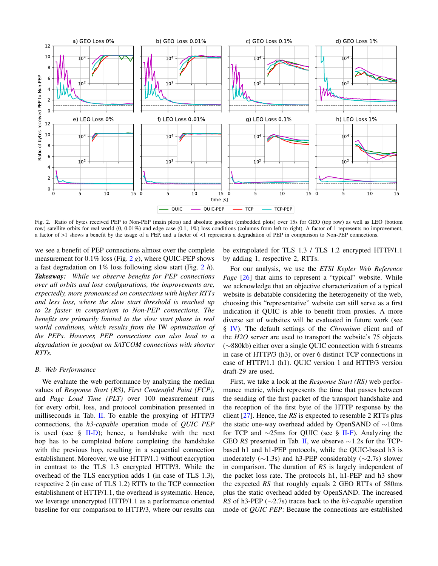

Fig. 2. Ratio of bytes received PEP to Non-PEP (main plots) and absolute goodput (embedded plots) over 15s for GEO (top row) as well as LEO (bottom row) satellite orbits for real world (0, 0.01%) and edge case (0.1, 1%) loss conditions (columns from left to right). A factor of 1 represents no improvement, a factor of >1 shows a benefit by the usage of a PEP, and a factor of <1 represents a degradation of PEP in comparison to Non-PEP connections.

we see a benefit of PEP connections almost over the complete measurement for 0.1% loss (Fig. 2 *g*), where QUIC-PEP shows a fast degradation on 1% loss following slow start (Fig. 2 *h*). *Takeaway: While we observe benefits for PEP connections over all orbits and loss configurations, the improvements are, expectedly, more pronounced on connections with higher RTTs and less loss, where the slow start threshold is reached up to 2s faster in comparison to Non-PEP connections. The benefits are primarily limited to the slow start phase in real world conditions, which results from the* IW *optimization of the PEPs. However, PEP connections can also lead to a degradation in goodput on SATCOM connections with shorter RTTs.*

# *B. Web Performance*

We evaluate the web performance by analyzing the median values of *Response Start (RS)*, *First Contentful Paint (FCP)*, and *Page Load Time (PLT)* over 100 measurement runs for every orbit, loss, and protocol combination presented in milliseconds in Tab. II. To enable the proxying of HTTP/3 connections, the *h3-capable* operation mode of *QUIC PEP* is used (see  $\S$  II-D); hence, a handshake with the next hop has to be completed before completing the handshake with the previous hop, resulting in a sequential connection establishment. Moreover, we use HTTP/1.1 without encryption in contrast to the TLS 1.3 encrypted HTTP/3. While the overhead of the TLS encryption adds 1 (in case of TLS 1.3), respective 2 (in case of TLS 1.2) RTTs to the TCP connection establishment of HTTP/1.1, the overhead is systematic. Hence, we leverage unencrypted HTTP/1.1 as a performance oriented baseline for our comparison to HTTP/3, where our results can be extrapolated for TLS 1.3 / TLS 1.2 encrypted HTTP/1.1 by adding 1, respective 2, RTTs.

For our analysis, we use the *ETSI Kepler Web Reference Page* [26] that aims to represent a "typical" website. While we acknowledge that an objective characterization of a typical website is debatable considering the heterogeneity of the web, choosing this "representative" website can still serve as a first indication if QUIC is able to benefit from proxies. A more diverse set of websites will be evaluated in future work (see § IV). The default settings of the *Chromium* client and of the *H2O* server are used to transport the website's 75 objects (∼880kb) either over a single QUIC connection with 6 streams in case of HTTP/3 (h3), or over 6 distinct TCP connections in case of HTTP/1.1 (h1). QUIC version 1 and HTTP/3 version draft-29 are used.

First, we take a look at the *Response Start (RS)* web performance metric, which represents the time that passes between the sending of the first packet of the transport handshake and the reception of the first byte of the HTTP response by the client [27]. Hence, the *RS* is expected to resemble 2 RTTs plus the static one-way overhead added by OpenSAND of ∼10ms for TCP and ∼25ms for QUIC (see § II-F). Analyzing the GEO *RS* presented in Tab. II, we observe ∼1.2s for the TCPbased h1 and h1-PEP protocols, while the QUIC-based h3 is moderately ( $\sim$ 1.3s) and h3-PEP considerably ( $\sim$ 2.7s) slower in comparison. The duration of *RS* is largely independent of the packet loss rate. The protocols h1, h1-PEP and h3 show the expected *RS* that roughly equals 2 GEO RTTs of 580ms plus the static overhead added by OpenSAND. The increased *RS* of h3-PEP (∼2.7s) traces back to the *h3-capable* operation mode of *QUIC PEP*: Because the connections are established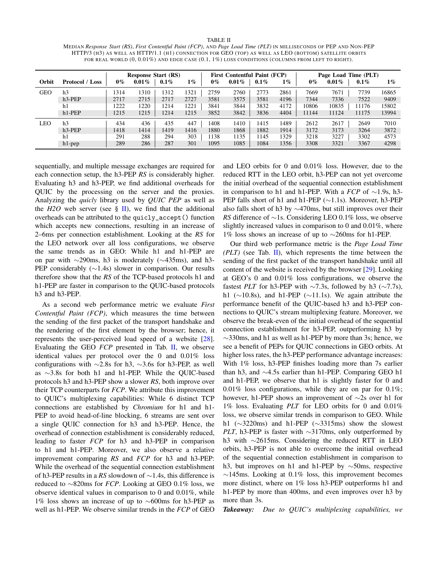#### TABLE II

MEDIAN *Response Start (RS)*, *First Contentful Paint (FCP)*, AND *Page Load Time (PLT)* IN MILLISECONDS OF PEP AND NON-PEP HTTP/3 (H3) AS WELL AS HTTP/1.1 (H1) CONNECTION FOR GEO (TOP) AS WELL AS LEO (BOTTOM) SATELLITE ORBITS FOR REAL WORLD  $(0, 0.01\%)$  AND EDGE CASE  $(0.1, 1\%)$  LOSS CONDITIONS (COLUMNS FROM LEFT TO RIGHT).

|            |                        | <b>Response Start (RS)</b> |          |         |       | <b>First Contentful Paint (FCP)</b> |          |         | Page Load Time (PLT) |       |          |         |       |
|------------|------------------------|----------------------------|----------|---------|-------|-------------------------------------|----------|---------|----------------------|-------|----------|---------|-------|
| Orbit      | <b>Protocol</b> / Loss | $0\%$                      | $0.01\%$ | $0.1\%$ | $1\%$ | $0\%$                               | $0.01\%$ | $0.1\%$ | $1\%$                | $0\%$ | $0.01\%$ | $0.1\%$ | $1\%$ |
| <b>GEO</b> | h <sub>3</sub>         | 314                        | 1310     | 1312    | 1321  | 2759                                | 2760     | 2773    | 2861                 | 7669  | 7671     | 7739    | 16865 |
|            | $h3-PEP$               | 2717                       | 2715     | 2717    | 2727  | 3581                                | 3575     | 3581    | 4196                 | 7344  | 7336     | 7522    | 9409  |
|            | h1                     | 1222                       | 1220     | 1214    | 1221  | 3841                                | 3844     | 3832    | 4172                 | 10806 | 10835    | 11176   | 15802 |
|            | $h1-PEP$               | 1215                       | 1215     | 1214    | 1215  | 3852                                | 3842     | 3836    | 4404                 | 11144 | 11124    | 11175   | 13994 |
| LEO        | h <sub>3</sub>         | 434                        | 436      | 435     | 447   | 1408                                | 1410     | 1415    | 489                  | 2612  | 2617     | 2649    | 7010  |
|            | $h3-PEP$               | 1418                       | 1414     | 1419    | 1416  | 1880                                | 1868     | 1882    | 1914                 | 3172  | 3173     | 3264    | 3872  |
|            | h1                     | 291                        | 288      | 294     | 303   | 1138                                | 1135     | 1145    | 329                  | 3218  | 3227     | 3302    | 4573  |
|            | $h1$ -pep              | 289                        | 286      | 287     | 301   | 1095                                | 1085     | 1084    | 1356                 | 3308  | 3321     | 3367    | 4298  |

sequentially, and multiple message exchanges are required for each connection setup, the h3-PEP *RS* is considerably higher. Evaluating h3 and h3-PEP, we find additional overheads for QUIC by the processing on the server and the proxies. Analyzing the *quicly* library used by *QUIC PEP* as well as the  $H2O$  web server (see § II), we find that the additional overheads can be attributed to the quicly\_accept() function which accepts new connections, resulting in an increase of 2–6ms per connection establishment. Looking at the *RS* for the LEO network over all loss configurations, we observe the same trends as in GEO: While h1 and h1-PEP are on par with ∼290ms, h3 is moderately (∼435ms), and h3- PEP considerably (∼1.4s) slower in comparison. Our results therefore show that the *RS* of the TCP-based protocols h1 and h1-PEP are faster in comparison to the QUIC-based protocols h3 and h3-PEP.

As a second web performance metric we evaluate *First Contentful Paint (FCP)*, which measures the time between the sending of the first packet of the transport handshake and the rendering of the first element by the browser; hence, it represents the user-perceived load speed of a website [28]. Evaluating the GEO *FCP* presented in Tab. II, we observe identical values per protocol over the 0 and 0.01% loss configurations with ∼2.8s for h3, ∼3.6s for h3-PEP, as well as ∼3.8s for both h1 and h1-PEP. While the QUIC-based protocols h3 and h3-PEP show a slower *RS*, both improve over their TCP counterparts for *FCP*. We attribute this improvement to QUIC's multiplexing capabilities: While 6 distinct TCP connections are established by *Chromium* for h1 and h1- PEP to avoid head-of-line blocking, 6 streams are sent over a single QUIC connection for h3 and h3-PEP. Hence, the overhead of connection establishment is considerably reduced, leading to faster *FCP* for h3 and h3-PEP in comparison to h1 and h1-PEP. Moreover, we also observe a relative improvement comparing *RS* and *FCP* for h3 and h3-PEP: While the overhead of the sequential connection establishment of h3-PEP results in a *RS* slowdown of ∼1.4s, this difference is reduced to ∼820ms for *FCP*. Looking at GEO 0.1% loss, we observe identical values in comparison to 0 and 0.01%, while 1% loss shows an increase of up to ∼600ms for h3-PEP as well as h1-PEP. We observe similar trends in the *FCP* of GEO

and LEO orbits for 0 and 0.01% loss. However, due to the reduced RTT in the LEO orbit, h3-PEP can not yet overcome the initial overhead of the sequential connection establishment in comparison to h1 and h1-PEP. With a *FCP* of ∼1.9s, h3- PEP falls short of h1 and h1-PEP (∼1.1s). Moreover, h3-PEP also falls short of h3 by ∼470ms, but still improves over their *RS* difference of ∼1s. Considering LEO 0.1% loss, we observe slightly increased values in comparison to 0 and 0.01%, where 1% loss shows an increase of up to ∼260ms for h1-PEP.

Our third web performance metric is the *Page Load Time (PLT)* (see Tab. II), which represents the time between the sending of the first packet of the transport handshake until all content of the website is received by the browser [29]. Looking at GEO's 0 and 0.01% loss configurations, we observe the fastest *PLT* for h3-PEP with  $\sim$ 7.3s, followed by h3 ( $\sim$ 7.7s), h1 (∼10.8s), and h1-PEP (∼11.1s). We again attribute the performance benefit of the QUIC-based h3 and h3-PEP connections to QUIC's stream multiplexing feature. Moreover, we observe the break-even of the initial overhead of the sequential connection establishment for h3-PEP, outperforming h3 by ∼330ms, and h1 as well as h1-PEP by more than 3s; hence, we see a benefit of PEPs for QUIC connections in GEO orbits. At higher loss rates, the h3-PEP performance advantage increases: With 1% loss, h3-PEP finishes loading more than 7s earlier than h3, and ∼4.5s earlier than h1-PEP. Comparing GEO h1 and h1-PEP, we observe that h1 is slightly faster for 0 and 0.01% loss configurations, while they are on par for 0.1%; however, h1-PEP shows an improvement of ∼2s over h1 for 1% loss. Evaluating *PLT* for LEO orbits for 0 and 0.01% loss, we observe similar trends in comparison to GEO. While h1 (∼3220ms) and h1-PEP (∼3315ms) show the slowest *PLT*, h3-PEP is faster with ∼3170ms, only outperformed by h3 with ∼2615ms. Considering the reduced RTT in LEO orbits, h3-PEP is not able to overcome the initial overhead of the sequential connection establishment in comparison to h3, but improves on h1 and h1-PEP by ∼50ms, respective  $\sim$ 145ms. Looking at 0.1% loss, this improvement becomes more distinct, where on 1% loss h3-PEP outperforms h1 and h1-PEP by more than 400ms, and even improves over h3 by more than 3s.

*Takeaway: Due to QUIC's multiplexing capabilities, we*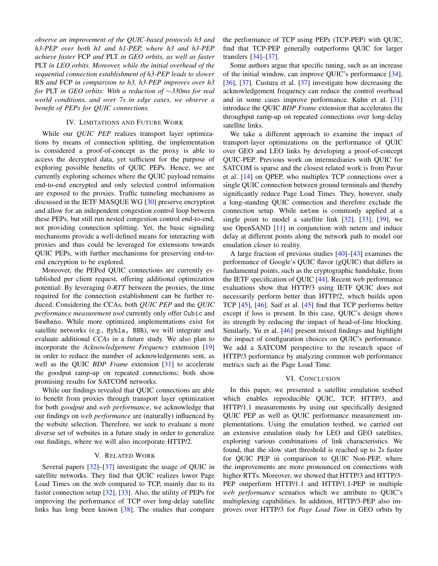*observe an improvement of the QUIC-based protocols h3 and h3-PEP over both h1 and h1-PEP, where h3 and h3-PEP achieve faster* FCP *and* PLT *in GEO orbits, as well as faster* PLT *in LEO orbits. Moreover, while the initial overhead of the sequential connection establishment of h3-PEP leads to slower* RS *and* FCP *in comparison to h3, h3-PEP improves over h3 for* PLT *in GEO orbits: With a reduction of* ∼*330ms for real world conditions, and over 7s in edge cases, we observe a benefit of PEPs for QUIC connections.*

# IV. LIMITATIONS AND FUTURE WORK

While our *QUIC PEP* realizes transport layer optimizations by means of connection splitting, the implementation is considered a proof-of-concept as the proxy is able to access the decrypted data, yet sufficient for the purpose of exploring possible benefits of QUIC PEPs. Hence, we are currently exploring schemes where the QUIC payload remains end-to-end encrypted and only selected control information are exposed to the proxies. Traffic tunneling mechanisms as discussed in the IETF MASQUE WG [30] preserve encryption and allow for an independent congestion control loop between these PEPs, but still run nested congestion control end-to-end, not providing connection splitting. Yet, the basic signaling mechanisms provide a well-defined means for interacting with proxies and thus could be leveraged for extensions towards QUIC PEPs, with further mechanisms for preserving end-toend encryption to be explored.

Moreover, the PEPed QUIC connections are currently established per client request, offering additional optimization potential: By leveraging *0-RTT* between the proxies, the time required for the connection establishment can be further reduced. Considering the CCAs, both *QUIC PEP* and the *QUIC performance measurement tool* currently only offer Cubic and NewReno. While more optimized implementations exist for satellite networks (e.g., Hybla, BBR), we will integrate and evaluate additional *CCAs* in a future study. We also plan to incorporate the *Acknowledgement Frequency* extension [19] in order to reduce the number of acknowledgements sent, as well as the QUIC *BDP Frame* extension [31] to accelerate the goodput ramp-up on repeated connections; both show promising results for SATCOM networks.

While our findings revealed that QUIC connections are able to benefit from proxies through transport layer optimization for both *goodput* and *web performance*, we acknowledge that our findings on *web performance* are (naturally) influenced by the website selection. Therefore, we seek to evaluate a more diverse set of websites in a future study in order to generalize our findings, where we will also incorporate HTTP/2.

# V. RELATED WORK

Several papers [32]–[37] investigate the usage of QUIC in satellite networks. They find that QUIC realizes lower Page Load Times on the web compared to TCP, mainly due to its faster connection setup [32], [33]. Also, the utility of PEPs for improving the performance of TCP over long-delay satellite links has long been known [38]. The studies that compare the performance of TCP using PEPs (TCP-PEP) with QUIC, find that TCP-PEP generally outperforms QUIC for larger transfers [34]–[37].

Some authors argue that specific tuning, such as an increase of the initial window, can improve QUIC's performance [34], [36], [37]. Custura et al. [37] investigate how decreasing the acknowledgement frequency can reduce the control overhead and in some cases improve performance. Kuhn et al. [31] introduce the QUIC *BDP Frame* extension that accelerates the throughput ramp-up on repeated connections over long-delay satellite links.

We take a different approach to examine the impact of transport-layer optimizations on the performance of QUIC over GEO and LEO links by developing a proof-of-concept QUIC-PEP. Previous work on intermediaries with QUIC for SATCOM is sparse and the closest related work is from Pavur et al. [14] on QPEP, who multiplex TCP connections over a single QUIC connection between ground terminals and thereby significantly reduce Page Load Times. They, however, study a long-standing QUIC connection and therefore exclude the connection setup. While netem is commonly applied at a single point to model a satellite link [32], [33], [39], we use OpenSAND [11] in conjunction with netem and induce delay at different points along the network path to model our emulation closer to reality.

A large fraction of previous studies [40]–[43] examines the performance of Google's QUIC flavor (gQUIC) that differs in fundamental points, such as the cryptographic handshake, from the IETF specification of QUIC [44]. Recent web performance evaluations show that HTTP/3 using IETF QUIC does not necessarily perform better than HTTP/2, which builds upon TCP [45], [46]. Saif et al. [45] find that TCP performs better except if loss is present. In this case, QUIC's design shows its strength by reducing the impact of head-of-line blocking. Similarly, Yu et al. [46] present mixed findings and highlight the impact of configuration choices on QUIC's performance. We add a SATCOM perspective to the research space of HTTP/3 performance by analyzing common web performance metrics such as the Page Load Time.

#### VI. CONCLUSION

In this paper, we presented a satellite emulation testbed which enables reproducible QUIC, TCP, HTTP/3, and HTTP/1.1 measurements by using our specifically designed QUIC PEP as well as QUIC performance measurement implementations. Using the emulation testbed, we carried out an extensive emulation study for LEO and GEO satellites, exploring various combinations of link characteristics. We found, that the slow start threshold is reached up to 2s faster for QUIC PEP in comparison to QUIC Non-PEP, where the improvements are more pronounced on connections with higher RTTs. Moreover, we showed that HTTP/3 and HTTP/3- PEP outperform HTTP/1.1 and HTTP/1.1-PEP in multiple *web performance* scenarios which we attribute to QUIC's multiplexing capabilities. In addition, HTTP/3-PEP also improves over HTTP/3 for *Page Load Time* in GEO orbits by